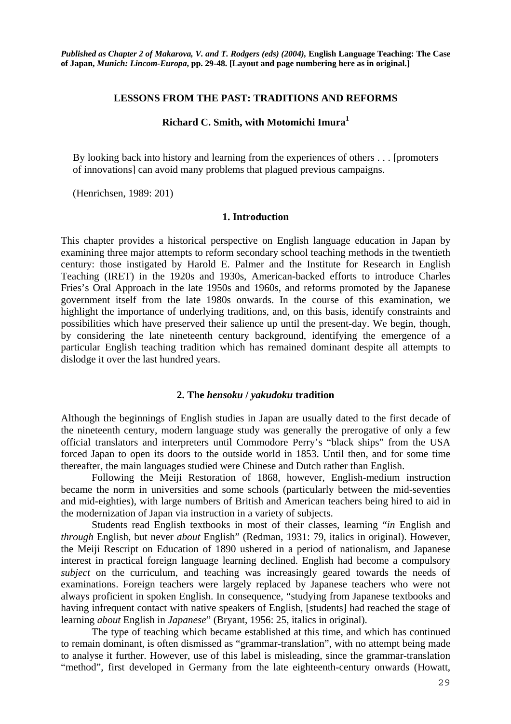*Published as Chapter 2 of Makarova, V. and T. Rodgers (eds) (2004),* **English Language Teaching: The Case of Japan,** *Munich: Lincom-Europa***, pp. 29-48. [Layout and page numbering here as in original.]** 

### **LESSONS FROM THE PAST: TRADITIONS AND REFORMS**

## **Richard C. Smith, with Motomichi Imura1**

By looking back into history and learning from the experiences of others . . . [promoters of innovations] can avoid many problems that plagued previous campaigns.

(Henrichsen, 1989: 201)

#### **1. Introduction**

This chapter provides a historical perspective on English language education in Japan by examining three major attempts to reform secondary school teaching methods in the twentieth century: those instigated by Harold E. Palmer and the Institute for Research in English Teaching (IRET) in the 1920s and 1930s, American-backed efforts to introduce Charles Fries's Oral Approach in the late 1950s and 1960s, and reforms promoted by the Japanese government itself from the late 1980s onwards. In the course of this examination, we highlight the importance of underlying traditions, and, on this basis, identify constraints and possibilities which have preserved their salience up until the present-day. We begin, though, by considering the late nineteenth century background, identifying the emergence of a particular English teaching tradition which has remained dominant despite all attempts to dislodge it over the last hundred years.

### **2. The** *hensoku* **/** *yakudoku* **tradition**

Although the beginnings of English studies in Japan are usually dated to the first decade of the nineteenth century, modern language study was generally the prerogative of only a few official translators and interpreters until Commodore Perry's "black ships" from the USA forced Japan to open its doors to the outside world in 1853. Until then, and for some time thereafter, the main languages studied were Chinese and Dutch rather than English.

Following the Meiji Restoration of 1868, however, English-medium instruction became the norm in universities and some schools (particularly between the mid-seventies and mid-eighties), with large numbers of British and American teachers being hired to aid in the modernization of Japan via instruction in a variety of subjects.

Students read English textbooks in most of their classes, learning "*in* English and *through* English, but never *about* English" (Redman, 1931: 79, italics in original). However, the Meiji Rescript on Education of 1890 ushered in a period of nationalism, and Japanese interest in practical foreign language learning declined. English had become a compulsory *subject* on the curriculum, and teaching was increasingly geared towards the needs of examinations. Foreign teachers were largely replaced by Japanese teachers who were not always proficient in spoken English. In consequence, "studying from Japanese textbooks and having infrequent contact with native speakers of English, [students] had reached the stage of learning *about* English in *Japanese*" (Bryant, 1956: 25, italics in original).

The type of teaching which became established at this time, and which has continued to remain dominant, is often dismissed as "grammar-translation", with no attempt being made to analyse it further. However, use of this label is misleading, since the grammar-translation "method", first developed in Germany from the late eighteenth-century onwards (Howatt,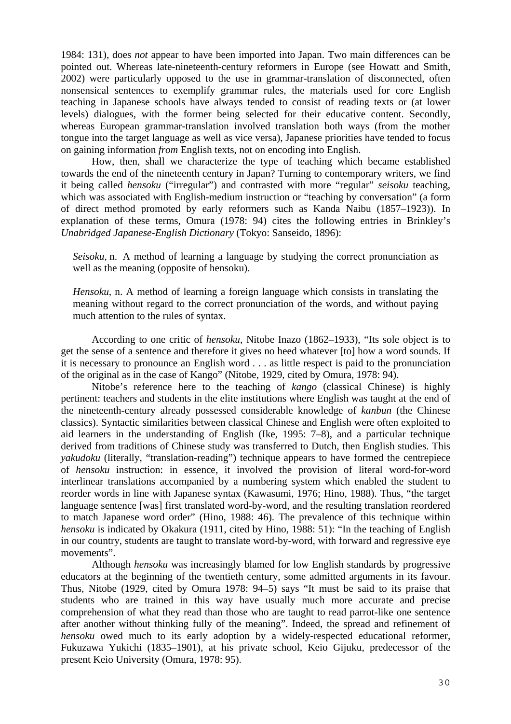1984: 131), does *not* appear to have been imported into Japan. Two main differences can be pointed out. Whereas late-nineteenth-century reformers in Europe (see Howatt and Smith, 2002) were particularly opposed to the use in grammar-translation of disconnected, often nonsensical sentences to exemplify grammar rules, the materials used for core English teaching in Japanese schools have always tended to consist of reading texts or (at lower levels) dialogues, with the former being selected for their educative content. Secondly, whereas European grammar-translation involved translation both ways (from the mother tongue into the target language as well as vice versa), Japanese priorities have tended to focus on gaining information *from* English texts, not on encoding into English.

 How, then, shall we characterize the type of teaching which became established towards the end of the nineteenth century in Japan? Turning to contemporary writers, we find it being called *hensoku* ("irregular") and contrasted with more "regular" *seisoku* teaching, which was associated with English-medium instruction or "teaching by conversation" (a form of direct method promoted by early reformers such as Kanda Naibu (1857–1923)). In explanation of these terms, Omura (1978: 94) cites the following entries in Brinkley's *Unabridged Japanese-English Dictionary* (Tokyo: Sanseido, 1896):

*Seisoku*, n. A method of learning a language by studying the correct pronunciation as well as the meaning (opposite of hensoku).

*Hensoku*, n. A method of learning a foreign language which consists in translating the meaning without regard to the correct pronunciation of the words, and without paying much attention to the rules of syntax.

According to one critic of *hensoku*, Nitobe Inazo (1862–1933), "Its sole object is to get the sense of a sentence and therefore it gives no heed whatever [to] how a word sounds. If it is necessary to pronounce an English word . . . as little respect is paid to the pronunciation of the original as in the case of Kango" (Nitobe, 1929, cited by Omura, 1978: 94).

Nitobe's reference here to the teaching of *kango* (classical Chinese) is highly pertinent: teachers and students in the elite institutions where English was taught at the end of the nineteenth-century already possessed considerable knowledge of *kanbun* (the Chinese classics). Syntactic similarities between classical Chinese and English were often exploited to aid learners in the understanding of English (Ike, 1995: 7–8), and a particular technique derived from traditions of Chinese study was transferred to Dutch, then English studies. This *yakudoku* (literally, "translation-reading") technique appears to have formed the centrepiece of *hensoku* instruction: in essence, it involved the provision of literal word-for-word interlinear translations accompanied by a numbering system which enabled the student to reorder words in line with Japanese syntax (Kawasumi, 1976; Hino, 1988). Thus, "the target language sentence [was] first translated word-by-word, and the resulting translation reordered to match Japanese word order" (Hino, 1988: 46). The prevalence of this technique within *hensoku* is indicated by Okakura (1911, cited by Hino, 1988: 51): "In the teaching of English in our country, students are taught to translate word-by-word, with forward and regressive eye movements".

Although *hensoku* was increasingly blamed for low English standards by progressive educators at the beginning of the twentieth century, some admitted arguments in its favour. Thus, Nitobe (1929, cited by Omura 1978: 94–5) says "It must be said to its praise that students who are trained in this way have usually much more accurate and precise comprehension of what they read than those who are taught to read parrot-like one sentence after another without thinking fully of the meaning". Indeed, the spread and refinement of *hensoku* owed much to its early adoption by a widely-respected educational reformer, Fukuzawa Yukichi (1835–1901), at his private school, Keio Gijuku, predecessor of the present Keio University (Omura, 1978: 95).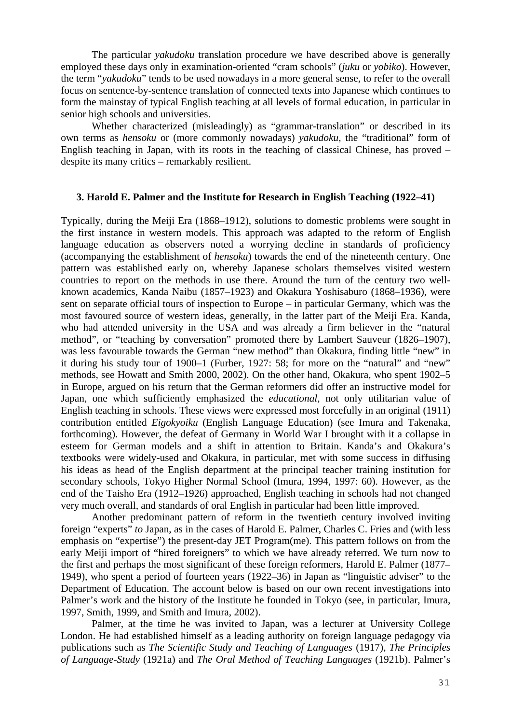The particular *yakudoku* translation procedure we have described above is generally employed these days only in examination-oriented "cram schools" (*juku* or *yobiko*). However, the term "*yakudoku*" tends to be used nowadays in a more general sense, to refer to the overall focus on sentence-by-sentence translation of connected texts into Japanese which continues to form the mainstay of typical English teaching at all levels of formal education, in particular in senior high schools and universities.

Whether characterized (misleadingly) as "grammar-translation" or described in its own terms as *hensoku* or (more commonly nowadays) *yakudoku*, the "traditional" form of English teaching in Japan, with its roots in the teaching of classical Chinese, has proved – despite its many critics – remarkably resilient.

## **3. Harold E. Palmer and the Institute for Research in English Teaching (1922–41)**

Typically, during the Meiji Era (1868–1912), solutions to domestic problems were sought in the first instance in western models. This approach was adapted to the reform of English language education as observers noted a worrying decline in standards of proficiency (accompanying the establishment of *hensoku*) towards the end of the nineteenth century. One pattern was established early on, whereby Japanese scholars themselves visited western countries to report on the methods in use there. Around the turn of the century two wellknown academics, Kanda Naibu (1857–1923) and Okakura Yoshisaburo (1868–1936), were sent on separate official tours of inspection to Europe – in particular Germany, which was the most favoured source of western ideas, generally, in the latter part of the Meiji Era. Kanda, who had attended university in the USA and was already a firm believer in the "natural method", or "teaching by conversation" promoted there by Lambert Sauveur (1826–1907), was less favourable towards the German "new method" than Okakura, finding little "new" in it during his study tour of 1900–1 (Furber, 1927: 58; for more on the "natural" and "new" methods, see Howatt and Smith 2000, 2002). On the other hand, Okakura, who spent 1902–5 in Europe, argued on his return that the German reformers did offer an instructive model for Japan, one which sufficiently emphasized the *educational*, not only utilitarian value of English teaching in schools. These views were expressed most forcefully in an original (1911) contribution entitled *Eigokyoiku* (English Language Education) (see Imura and Takenaka, forthcoming). However, the defeat of Germany in World War I brought with it a collapse in esteem for German models and a shift in attention to Britain. Kanda's and Okakura's textbooks were widely-used and Okakura, in particular, met with some success in diffusing his ideas as head of the English department at the principal teacher training institution for secondary schools, Tokyo Higher Normal School (Imura, 1994, 1997: 60). However, as the end of the Taisho Era (1912–1926) approached, English teaching in schools had not changed very much overall, and standards of oral English in particular had been little improved.

Another predominant pattern of reform in the twentieth century involved inviting foreign "experts" *to* Japan, as in the cases of Harold E. Palmer, Charles C. Fries and (with less emphasis on "expertise") the present-day JET Program(me). This pattern follows on from the early Meiji import of "hired foreigners" to which we have already referred. We turn now to the first and perhaps the most significant of these foreign reformers, Harold E. Palmer (1877– 1949), who spent a period of fourteen years (1922–36) in Japan as "linguistic adviser" to the Department of Education. The account below is based on our own recent investigations into Palmer's work and the history of the Institute he founded in Tokyo (see, in particular, Imura, 1997, Smith, 1999, and Smith and Imura, 2002).

 Palmer, at the time he was invited to Japan, was a lecturer at University College London. He had established himself as a leading authority on foreign language pedagogy via publications such as *The Scientific Study and Teaching of Languages* (1917), *The Principles of Language-Study* (1921a) and *The Oral Method of Teaching Languages* (1921b). Palmer's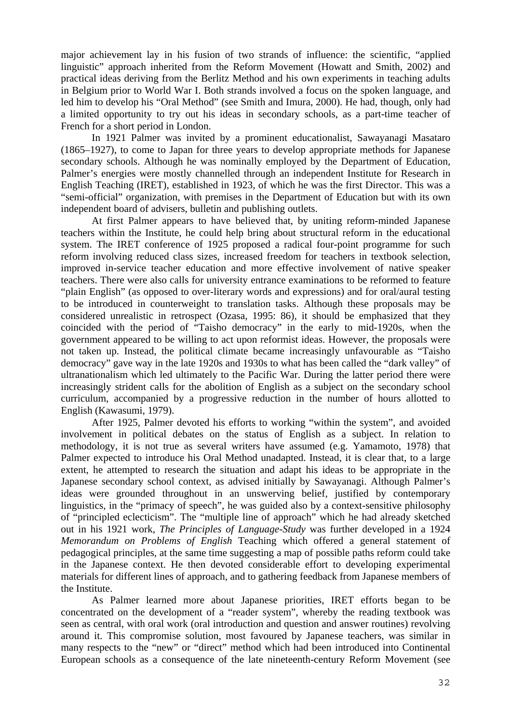major achievement lay in his fusion of two strands of influence: the scientific, "applied linguistic" approach inherited from the Reform Movement (Howatt and Smith, 2002) and practical ideas deriving from the Berlitz Method and his own experiments in teaching adults in Belgium prior to World War I. Both strands involved a focus on the spoken language, and led him to develop his "Oral Method" (see Smith and Imura, 2000). He had, though, only had a limited opportunity to try out his ideas in secondary schools, as a part-time teacher of French for a short period in London.

In 1921 Palmer was invited by a prominent educationalist, Sawayanagi Masataro (1865–1927), to come to Japan for three years to develop appropriate methods for Japanese secondary schools. Although he was nominally employed by the Department of Education, Palmer's energies were mostly channelled through an independent Institute for Research in English Teaching (IRET), established in 1923, of which he was the first Director. This was a "semi-official" organization, with premises in the Department of Education but with its own independent board of advisers, bulletin and publishing outlets.

At first Palmer appears to have believed that, by uniting reform-minded Japanese teachers within the Institute, he could help bring about structural reform in the educational system. The IRET conference of 1925 proposed a radical four-point programme for such reform involving reduced class sizes, increased freedom for teachers in textbook selection, improved in-service teacher education and more effective involvement of native speaker teachers. There were also calls for university entrance examinations to be reformed to feature "plain English" (as opposed to over-literary words and expressions) and for oral/aural testing to be introduced in counterweight to translation tasks. Although these proposals may be considered unrealistic in retrospect (Ozasa, 1995: 86), it should be emphasized that they coincided with the period of "Taisho democracy" in the early to mid-1920s, when the government appeared to be willing to act upon reformist ideas. However, the proposals were not taken up. Instead, the political climate became increasingly unfavourable as "Taisho democracy" gave way in the late 1920s and 1930s to what has been called the "dark valley" of ultranationalism which led ultimately to the Pacific War. During the latter period there were increasingly strident calls for the abolition of English as a subject on the secondary school curriculum, accompanied by a progressive reduction in the number of hours allotted to English (Kawasumi, 1979).

After 1925, Palmer devoted his efforts to working "within the system", and avoided involvement in political debates on the status of English as a subject. In relation to methodology, it is not true as several writers have assumed (e.g. Yamamoto, 1978) that Palmer expected to introduce his Oral Method unadapted. Instead, it is clear that, to a large extent, he attempted to research the situation and adapt his ideas to be appropriate in the Japanese secondary school context, as advised initially by Sawayanagi. Although Palmer's ideas were grounded throughout in an unswerving belief, justified by contemporary linguistics, in the "primacy of speech", he was guided also by a context-sensitive philosophy of "principled eclecticism". The "multiple line of approach" which he had already sketched out in his 1921 work, *The Principles of Language-Study* was further developed in a 1924 *Memorandum on Problems of English* Teaching which offered a general statement of pedagogical principles, at the same time suggesting a map of possible paths reform could take in the Japanese context. He then devoted considerable effort to developing experimental materials for different lines of approach, and to gathering feedback from Japanese members of the Institute.

As Palmer learned more about Japanese priorities, IRET efforts began to be concentrated on the development of a "reader system", whereby the reading textbook was seen as central, with oral work (oral introduction and question and answer routines) revolving around it. This compromise solution, most favoured by Japanese teachers, was similar in many respects to the "new" or "direct" method which had been introduced into Continental European schools as a consequence of the late nineteenth-century Reform Movement (see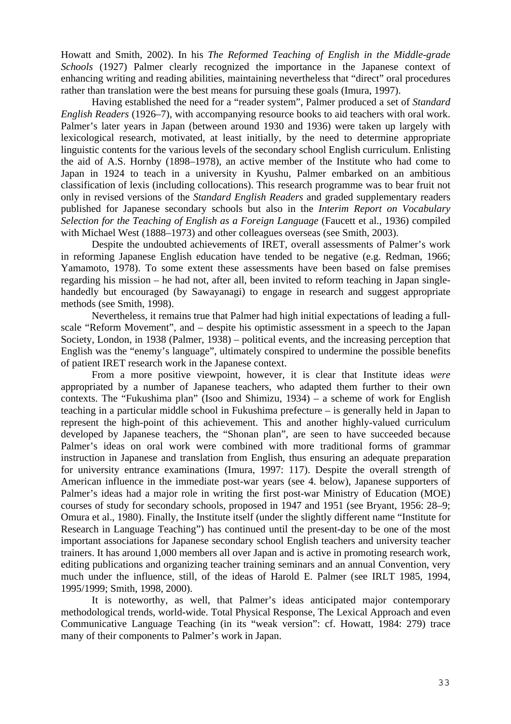Howatt and Smith, 2002). In his *The Reformed Teaching of English in the Middle-grade Schools* (1927) Palmer clearly recognized the importance in the Japanese context of enhancing writing and reading abilities, maintaining nevertheless that "direct" oral procedures rather than translation were the best means for pursuing these goals (Imura, 1997).

Having established the need for a "reader system", Palmer produced a set of *Standard English Readers* (1926–7), with accompanying resource books to aid teachers with oral work. Palmer's later years in Japan (between around 1930 and 1936) were taken up largely with lexicological research, motivated, at least initially, by the need to determine appropriate linguistic contents for the various levels of the secondary school English curriculum. Enlisting the aid of A.S. Hornby (1898–1978), an active member of the Institute who had come to Japan in 1924 to teach in a university in Kyushu, Palmer embarked on an ambitious classification of lexis (including collocations). This research programme was to bear fruit not only in revised versions of the *Standard English Readers* and graded supplementary readers published for Japanese secondary schools but also in the *Interim Report on Vocabulary Selection for the Teaching of English as a Foreign Language* (Faucett et al., 1936) compiled with Michael West (1888–1973) and other colleagues overseas (see Smith, 2003).

Despite the undoubted achievements of IRET, overall assessments of Palmer's work in reforming Japanese English education have tended to be negative (e.g. Redman, 1966; Yamamoto, 1978). To some extent these assessments have been based on false premises regarding his mission – he had not, after all, been invited to reform teaching in Japan singlehandedly but encouraged (by Sawayanagi) to engage in research and suggest appropriate methods (see Smith, 1998).

Nevertheless, it remains true that Palmer had high initial expectations of leading a fullscale "Reform Movement", and – despite his optimistic assessment in a speech to the Japan Society, London, in 1938 (Palmer, 1938) – political events, and the increasing perception that English was the "enemy's language", ultimately conspired to undermine the possible benefits of patient IRET research work in the Japanese context.

From a more positive viewpoint, however, it is clear that Institute ideas *were* appropriated by a number of Japanese teachers, who adapted them further to their own contexts. The "Fukushima plan" (Isoo and Shimizu, 1934) – a scheme of work for English teaching in a particular middle school in Fukushima prefecture – is generally held in Japan to represent the high-point of this achievement. This and another highly-valued curriculum developed by Japanese teachers, the "Shonan plan", are seen to have succeeded because Palmer's ideas on oral work were combined with more traditional forms of grammar instruction in Japanese and translation from English, thus ensuring an adequate preparation for university entrance examinations (Imura, 1997: 117). Despite the overall strength of American influence in the immediate post-war years (see 4. below), Japanese supporters of Palmer's ideas had a major role in writing the first post-war Ministry of Education (MOE) courses of study for secondary schools, proposed in 1947 and 1951 (see Bryant, 1956: 28–9; Omura et al., 1980). Finally, the Institute itself (under the slightly different name "Institute for Research in Language Teaching") has continued until the present-day to be one of the most important associations for Japanese secondary school English teachers and university teacher trainers. It has around 1,000 members all over Japan and is active in promoting research work, editing publications and organizing teacher training seminars and an annual Convention, very much under the influence, still, of the ideas of Harold E. Palmer (see IRLT 1985, 1994, 1995/1999; Smith, 1998, 2000).

It is noteworthy, as well, that Palmer's ideas anticipated major contemporary methodological trends, world-wide. Total Physical Response, The Lexical Approach and even Communicative Language Teaching (in its "weak version": cf. Howatt, 1984: 279) trace many of their components to Palmer's work in Japan.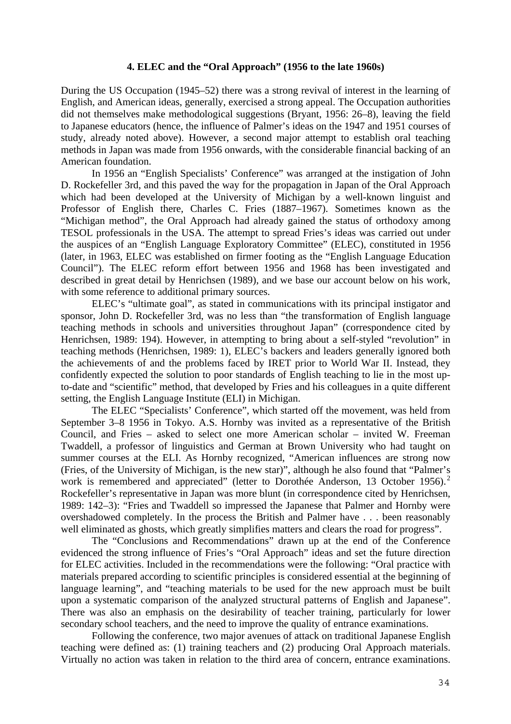### **4. ELEC and the "Oral Approach" (1956 to the late 1960s)**

During the US Occupation (1945–52) there was a strong revival of interest in the learning of English, and American ideas, generally, exercised a strong appeal. The Occupation authorities did not themselves make methodological suggestions (Bryant, 1956: 26–8), leaving the field to Japanese educators (hence, the influence of Palmer's ideas on the 1947 and 1951 courses of study, already noted above). However, a second major attempt to establish oral teaching methods in Japan was made from 1956 onwards, with the considerable financial backing of an American foundation.

In 1956 an "English Specialists' Conference" was arranged at the instigation of John D. Rockefeller 3rd, and this paved the way for the propagation in Japan of the Oral Approach which had been developed at the University of Michigan by a well-known linguist and Professor of English there, Charles C. Fries (1887–1967). Sometimes known as the "Michigan method", the Oral Approach had already gained the status of orthodoxy among TESOL professionals in the USA. The attempt to spread Fries's ideas was carried out under the auspices of an "English Language Exploratory Committee" (ELEC), constituted in 1956 (later, in 1963, ELEC was established on firmer footing as the "English Language Education Council"). The ELEC reform effort between 1956 and 1968 has been investigated and described in great detail by Henrichsen (1989), and we base our account below on his work, with some reference to additional primary sources.

ELEC's "ultimate goal", as stated in communications with its principal instigator and sponsor, John D. Rockefeller 3rd, was no less than "the transformation of English language teaching methods in schools and universities throughout Japan" (correspondence cited by Henrichsen, 1989: 194). However, in attempting to bring about a self-styled "revolution" in teaching methods (Henrichsen, 1989: 1), ELEC's backers and leaders generally ignored both the achievements of and the problems faced by IRET prior to World War II. Instead, they confidently expected the solution to poor standards of English teaching to lie in the most upto-date and "scientific" method, that developed by Fries and his colleagues in a quite different setting, the English Language Institute (ELI) in Michigan.

The ELEC "Specialists' Conference", which started off the movement, was held from September 3–8 1956 in Tokyo. A.S. Hornby was invited as a representative of the British Council, and Fries – asked to select one more American scholar – invited W. Freeman Twaddell, a professor of linguistics and German at Brown University who had taught on summer courses at the ELI. As Hornby recognized, "American influences are strong now (Fries, of the University of Michigan, is the new star)", although he also found that "Palmer's work is remembered and appreciated" (letter to Dorothée Anderson, 13 October 1956).<sup>2</sup> Rockefeller's representative in Japan was more blunt (in correspondence cited by Henrichsen, 1989: 142–3): "Fries and Twaddell so impressed the Japanese that Palmer and Hornby were overshadowed completely. In the process the British and Palmer have . . . been reasonably well eliminated as ghosts, which greatly simplifies matters and clears the road for progress".

The "Conclusions and Recommendations" drawn up at the end of the Conference evidenced the strong influence of Fries's "Oral Approach" ideas and set the future direction for ELEC activities. Included in the recommendations were the following: "Oral practice with materials prepared according to scientific principles is considered essential at the beginning of language learning", and "teaching materials to be used for the new approach must be built upon a systematic comparison of the analyzed structural patterns of English and Japanese". There was also an emphasis on the desirability of teacher training, particularly for lower secondary school teachers, and the need to improve the quality of entrance examinations.

Following the conference, two major avenues of attack on traditional Japanese English teaching were defined as: (1) training teachers and (2) producing Oral Approach materials. Virtually no action was taken in relation to the third area of concern, entrance examinations.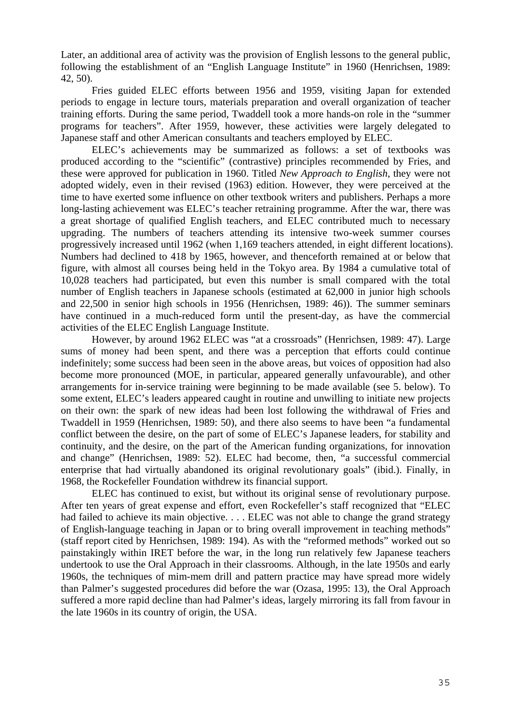Later, an additional area of activity was the provision of English lessons to the general public, following the establishment of an "English Language Institute" in 1960 (Henrichsen, 1989: 42, 50).

 Fries guided ELEC efforts between 1956 and 1959, visiting Japan for extended periods to engage in lecture tours, materials preparation and overall organization of teacher training efforts. During the same period, Twaddell took a more hands-on role in the "summer programs for teachers". After 1959, however, these activities were largely delegated to Japanese staff and other American consultants and teachers employed by ELEC.

ELEC's achievements may be summarized as follows: a set of textbooks was produced according to the "scientific" (contrastive) principles recommended by Fries, and these were approved for publication in 1960. Titled *New Approach to English*, they were not adopted widely, even in their revised (1963) edition. However, they were perceived at the time to have exerted some influence on other textbook writers and publishers. Perhaps a more long-lasting achievement was ELEC's teacher retraining programme. After the war, there was a great shortage of qualified English teachers, and ELEC contributed much to necessary upgrading. The numbers of teachers attending its intensive two-week summer courses progressively increased until 1962 (when 1,169 teachers attended, in eight different locations). Numbers had declined to 418 by 1965, however, and thenceforth remained at or below that figure, with almost all courses being held in the Tokyo area. By 1984 a cumulative total of 10,028 teachers had participated, but even this number is small compared with the total number of English teachers in Japanese schools (estimated at 62,000 in junior high schools and 22,500 in senior high schools in 1956 (Henrichsen, 1989: 46)). The summer seminars have continued in a much-reduced form until the present-day, as have the commercial activities of the ELEC English Language Institute.

However, by around 1962 ELEC was "at a crossroads" (Henrichsen, 1989: 47). Large sums of money had been spent, and there was a perception that efforts could continue indefinitely; some success had been seen in the above areas, but voices of opposition had also become more pronounced (MOE, in particular, appeared generally unfavourable), and other arrangements for in-service training were beginning to be made available (see 5. below). To some extent, ELEC's leaders appeared caught in routine and unwilling to initiate new projects on their own: the spark of new ideas had been lost following the withdrawal of Fries and Twaddell in 1959 (Henrichsen, 1989: 50), and there also seems to have been "a fundamental conflict between the desire, on the part of some of ELEC's Japanese leaders, for stability and continuity, and the desire, on the part of the American funding organizations, for innovation and change" (Henrichsen, 1989: 52). ELEC had become, then, "a successful commercial enterprise that had virtually abandoned its original revolutionary goals" (ibid.). Finally, in 1968, the Rockefeller Foundation withdrew its financial support.

ELEC has continued to exist, but without its original sense of revolutionary purpose. After ten years of great expense and effort, even Rockefeller's staff recognized that "ELEC had failed to achieve its main objective. . . . ELEC was not able to change the grand strategy of English-language teaching in Japan or to bring overall improvement in teaching methods" (staff report cited by Henrichsen, 1989: 194). As with the "reformed methods" worked out so painstakingly within IRET before the war, in the long run relatively few Japanese teachers undertook to use the Oral Approach in their classrooms. Although, in the late 1950s and early 1960s, the techniques of mim-mem drill and pattern practice may have spread more widely than Palmer's suggested procedures did before the war (Ozasa, 1995: 13), the Oral Approach suffered a more rapid decline than had Palmer's ideas, largely mirroring its fall from favour in the late 1960s in its country of origin, the USA.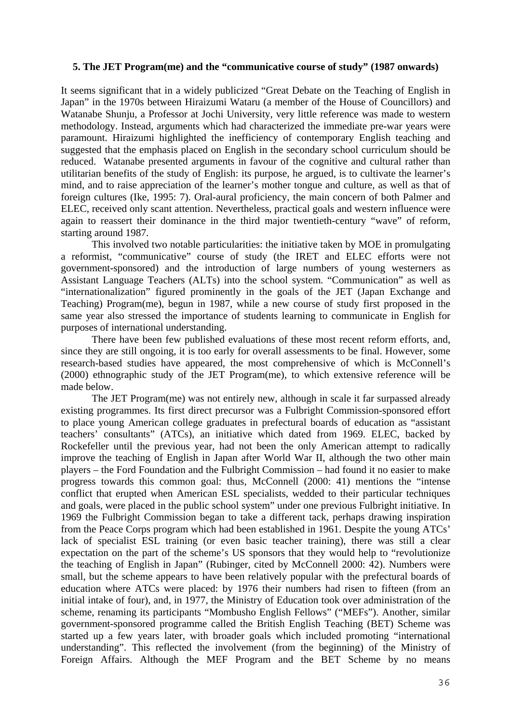## **5. The JET Program(me) and the "communicative course of study" (1987 onwards)**

It seems significant that in a widely publicized "Great Debate on the Teaching of English in Japan" in the 1970s between Hiraizumi Wataru (a member of the House of Councillors) and Watanabe Shunju, a Professor at Jochi University, very little reference was made to western methodology. Instead, arguments which had characterized the immediate pre-war years were paramount. Hiraizumi highlighted the inefficiency of contemporary English teaching and suggested that the emphasis placed on English in the secondary school curriculum should be reduced. Watanabe presented arguments in favour of the cognitive and cultural rather than utilitarian benefits of the study of English: its purpose, he argued, is to cultivate the learner's mind, and to raise appreciation of the learner's mother tongue and culture, as well as that of foreign cultures (Ike, 1995: 7). Oral-aural proficiency, the main concern of both Palmer and ELEC, received only scant attention. Nevertheless, practical goals and western influence were again to reassert their dominance in the third major twentieth-century "wave" of reform, starting around 1987.

This involved two notable particularities: the initiative taken by MOE in promulgating a reformist, "communicative" course of study (the IRET and ELEC efforts were not government-sponsored) and the introduction of large numbers of young westerners as Assistant Language Teachers (ALTs) into the school system. "Communication" as well as "internationalization" figured prominently in the goals of the JET (Japan Exchange and Teaching) Program(me), begun in 1987, while a new course of study first proposed in the same year also stressed the importance of students learning to communicate in English for purposes of international understanding.

There have been few published evaluations of these most recent reform efforts, and, since they are still ongoing, it is too early for overall assessments to be final. However, some research-based studies have appeared, the most comprehensive of which is McConnell's (2000) ethnographic study of the JET Program(me), to which extensive reference will be made below.

 The JET Program(me) was not entirely new, although in scale it far surpassed already existing programmes. Its first direct precursor was a Fulbright Commission-sponsored effort to place young American college graduates in prefectural boards of education as "assistant teachers' consultants" (ATCs), an initiative which dated from 1969. ELEC, backed by Rockefeller until the previous year, had not been the only American attempt to radically improve the teaching of English in Japan after World War II, although the two other main players – the Ford Foundation and the Fulbright Commission – had found it no easier to make progress towards this common goal: thus, McConnell (2000: 41) mentions the "intense conflict that erupted when American ESL specialists, wedded to their particular techniques and goals, were placed in the public school system" under one previous Fulbright initiative. In 1969 the Fulbright Commission began to take a different tack, perhaps drawing inspiration from the Peace Corps program which had been established in 1961. Despite the young ATCs' lack of specialist ESL training (or even basic teacher training), there was still a clear expectation on the part of the scheme's US sponsors that they would help to "revolutionize the teaching of English in Japan" (Rubinger, cited by McConnell 2000: 42). Numbers were small, but the scheme appears to have been relatively popular with the prefectural boards of education where ATCs were placed: by 1976 their numbers had risen to fifteen (from an initial intake of four), and, in 1977, the Ministry of Education took over administration of the scheme, renaming its participants "Mombusho English Fellows" ("MEFs"). Another, similar government-sponsored programme called the British English Teaching (BET) Scheme was started up a few years later, with broader goals which included promoting "international understanding". This reflected the involvement (from the beginning) of the Ministry of Foreign Affairs. Although the MEF Program and the BET Scheme by no means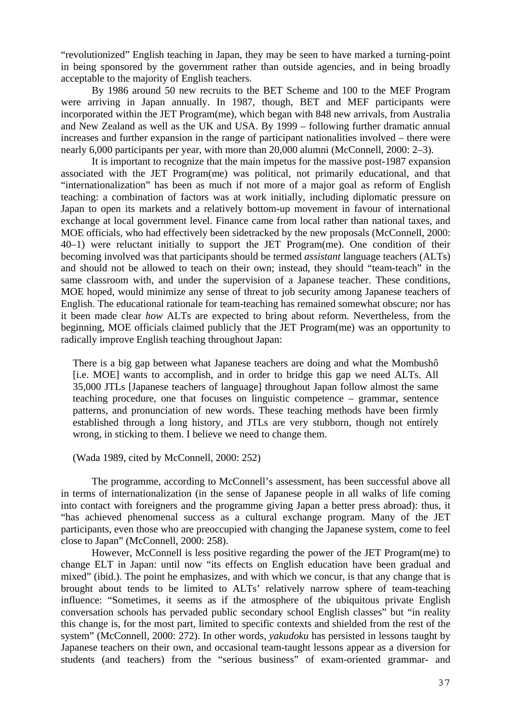"revolutionized" English teaching in Japan, they may be seen to have marked a turning-point in being sponsored by the government rather than outside agencies, and in being broadly acceptable to the majority of English teachers.

By 1986 around 50 new recruits to the BET Scheme and 100 to the MEF Program were arriving in Japan annually. In 1987, though, BET and MEF participants were incorporated within the JET Program(me), which began with 848 new arrivals, from Australia and New Zealand as well as the UK and USA. By 1999 – following further dramatic annual increases and further expansion in the range of participant nationalities involved – there were nearly 6,000 participants per year, with more than 20,000 alumni (McConnell, 2000: 2–3).

It is important to recognize that the main impetus for the massive post-1987 expansion associated with the JET Program(me) was political, not primarily educational, and that "internationalization" has been as much if not more of a major goal as reform of English teaching: a combination of factors was at work initially, including diplomatic pressure on Japan to open its markets and a relatively bottom-up movement in favour of international exchange at local government level. Finance came from local rather than national taxes, and MOE officials, who had effectively been sidetracked by the new proposals (McConnell, 2000: 40–1) were reluctant initially to support the JET Program(me). One condition of their becoming involved was that participants should be termed *assistant* language teachers (ALTs) and should not be allowed to teach on their own; instead, they should "team-teach" in the same classroom with, and under the supervision of a Japanese teacher. These conditions, MOE hoped, would minimize any sense of threat to job security among Japanese teachers of English. The educational rationale for team-teaching has remained somewhat obscure; nor has it been made clear *how* ALTs are expected to bring about reform. Nevertheless, from the beginning, MOE officials claimed publicly that the JET Program(me) was an opportunity to radically improve English teaching throughout Japan:

There is a big gap between what Japanese teachers are doing and what the Mombushô [i.e. MOE] wants to accomplish, and in order to bridge this gap we need ALTs. All 35,000 JTLs [Japanese teachers of language] throughout Japan follow almost the same teaching procedure, one that focuses on linguistic competence – grammar, sentence patterns, and pronunciation of new words. These teaching methods have been firmly established through a long history, and JTLs are very stubborn, though not entirely wrong, in sticking to them. I believe we need to change them.

(Wada 1989, cited by McConnell, 2000: 252)

The programme, according to McConnell's assessment, has been successful above all in terms of internationalization (in the sense of Japanese people in all walks of life coming into contact with foreigners and the programme giving Japan a better press abroad): thus, it "has achieved phenomenal success as a cultural exchange program. Many of the JET participants, even those who are preoccupied with changing the Japanese system, come to feel close to Japan" (McConnell, 2000: 258).

However, McConnell is less positive regarding the power of the JET Program(me) to change ELT in Japan: until now "its effects on English education have been gradual and mixed" (ibid.). The point he emphasizes, and with which we concur, is that any change that is brought about tends to be limited to ALTs' relatively narrow sphere of team-teaching influence: "Sometimes, it seems as if the atmosphere of the ubiquitous private English conversation schools has pervaded public secondary school English classes" but "in reality this change is, for the most part, limited to specific contexts and shielded from the rest of the system" (McConnell, 2000: 272). In other words, *yakudoku* has persisted in lessons taught by Japanese teachers on their own, and occasional team-taught lessons appear as a diversion for students (and teachers) from the "serious business" of exam-oriented grammar- and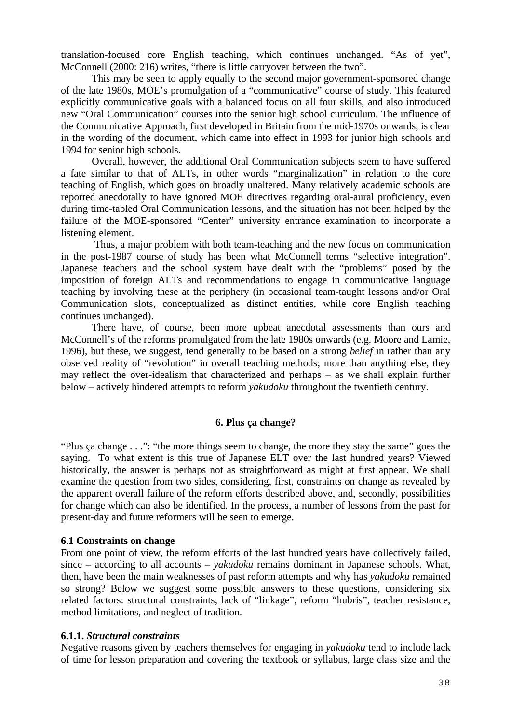translation-focused core English teaching, which continues unchanged. "As of yet", McConnell (2000: 216) writes, "there is little carryover between the two".

This may be seen to apply equally to the second major government-sponsored change of the late 1980s, MOE's promulgation of a "communicative" course of study. This featured explicitly communicative goals with a balanced focus on all four skills, and also introduced new "Oral Communication" courses into the senior high school curriculum. The influence of the Communicative Approach, first developed in Britain from the mid-1970s onwards, is clear in the wording of the document, which came into effect in 1993 for junior high schools and 1994 for senior high schools.

Overall, however, the additional Oral Communication subjects seem to have suffered a fate similar to that of ALTs, in other words "marginalization" in relation to the core teaching of English, which goes on broadly unaltered. Many relatively academic schools are reported anecdotally to have ignored MOE directives regarding oral-aural proficiency, even during time-tabled Oral Communication lessons, and the situation has not been helped by the failure of the MOE-sponsored "Center" university entrance examination to incorporate a listening element.

 Thus, a major problem with both team-teaching and the new focus on communication in the post-1987 course of study has been what McConnell terms "selective integration". Japanese teachers and the school system have dealt with the "problems" posed by the imposition of foreign ALTs and recommendations to engage in communicative language teaching by involving these at the periphery (in occasional team-taught lessons and/or Oral Communication slots, conceptualized as distinct entities, while core English teaching continues unchanged).

There have, of course, been more upbeat anecdotal assessments than ours and McConnell's of the reforms promulgated from the late 1980s onwards (e.g. Moore and Lamie, 1996), but these, we suggest, tend generally to be based on a strong *belief* in rather than any observed reality of "revolution" in overall teaching methods; more than anything else, they may reflect the over-idealism that characterized and perhaps – as we shall explain further below – actively hindered attempts to reform *yakudoku* throughout the twentieth century.

## **6. Plus ça change?**

"Plus ça change . . .": "the more things seem to change, the more they stay the same" goes the saying. To what extent is this true of Japanese ELT over the last hundred years? Viewed historically, the answer is perhaps not as straightforward as might at first appear. We shall examine the question from two sides, considering, first, constraints on change as revealed by the apparent overall failure of the reform efforts described above, and, secondly, possibilities for change which can also be identified. In the process, a number of lessons from the past for present-day and future reformers will be seen to emerge.

### **6.1 Constraints on change**

From one point of view, the reform efforts of the last hundred years have collectively failed, since – according to all accounts – *yakudoku* remains dominant in Japanese schools. What, then, have been the main weaknesses of past reform attempts and why has *yakudoku* remained so strong? Below we suggest some possible answers to these questions, considering six related factors: structural constraints, lack of "linkage", reform "hubris", teacher resistance, method limitations, and neglect of tradition.

## **6.1.1.** *Structural constraints*

Negative reasons given by teachers themselves for engaging in *yakudoku* tend to include lack of time for lesson preparation and covering the textbook or syllabus, large class size and the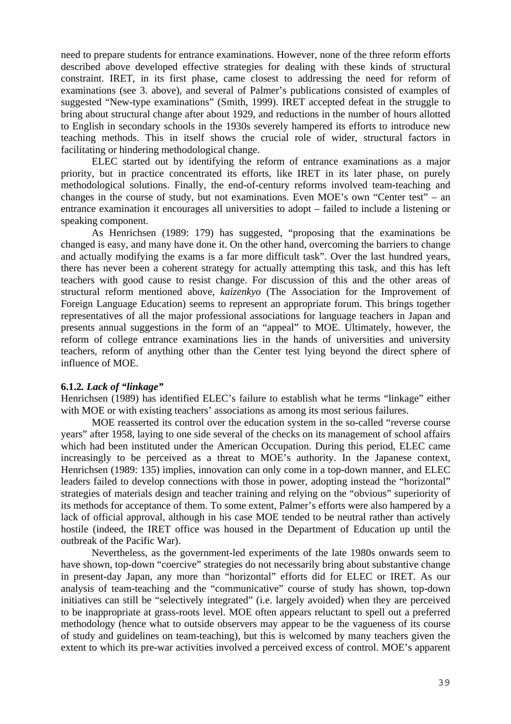need to prepare students for entrance examinations. However, none of the three reform efforts described above developed effective strategies for dealing with these kinds of structural constraint. IRET, in its first phase, came closest to addressing the need for reform of examinations (see 3. above), and several of Palmer's publications consisted of examples of suggested "New-type examinations" (Smith, 1999). IRET accepted defeat in the struggle to bring about structural change after about 1929, and reductions in the number of hours allotted to English in secondary schools in the 1930s severely hampered its efforts to introduce new teaching methods. This in itself shows the crucial role of wider, structural factors in facilitating or hindering methodological change.

ELEC started out by identifying the reform of entrance examinations as a major priority, but in practice concentrated its efforts, like IRET in its later phase, on purely methodological solutions. Finally, the end-of-century reforms involved team-teaching and changes in the course of study, but not examinations. Even MOE's own "Center test" – an entrance examination it encourages all universities to adopt – failed to include a listening or speaking component.

 As Henrichsen (1989: 179) has suggested, "proposing that the examinations be changed is easy, and many have done it. On the other hand, overcoming the barriers to change and actually modifying the exams is a far more difficult task". Over the last hundred years, there has never been a coherent strategy for actually attempting this task, and this has left teachers with good cause to resist change. For discussion of this and the other areas of structural reform mentioned above, *kaizenkyo* (The Association for the Improvement of Foreign Language Education) seems to represent an appropriate forum. This brings together representatives of all the major professional associations for language teachers in Japan and presents annual suggestions in the form of an "appeal" to MOE. Ultimately, however, the reform of college entrance examinations lies in the hands of universities and university teachers, reform of anything other than the Center test lying beyond the direct sphere of influence of MOE.

## **6.1.2***. Lack of "linkage"*

Henrichsen (1989) has identified ELEC's failure to establish what he terms "linkage" either with MOE or with existing teachers' associations as among its most serious failures.

MOE reasserted its control over the education system in the so-called "reverse course years" after 1958, laying to one side several of the checks on its management of school affairs which had been instituted under the American Occupation. During this period, ELEC came increasingly to be perceived as a threat to MOE's authority. In the Japanese context, Henrichsen (1989: 135) implies, innovation can only come in a top-down manner, and ELEC leaders failed to develop connections with those in power, adopting instead the "horizontal" strategies of materials design and teacher training and relying on the "obvious" superiority of its methods for acceptance of them. To some extent, Palmer's efforts were also hampered by a lack of official approval, although in his case MOE tended to be neutral rather than actively hostile (indeed, the IRET office was housed in the Department of Education up until the outbreak of the Pacific War).

 Nevertheless, as the government-led experiments of the late 1980s onwards seem to have shown, top-down "coercive" strategies do not necessarily bring about substantive change in present-day Japan, any more than "horizontal" efforts did for ELEC or IRET. As our analysis of team-teaching and the "communicative" course of study has shown, top-down initiatives can still be "selectively integrated" (i.e. largely avoided) when they are perceived to be inappropriate at grass-roots level. MOE often appears reluctant to spell out a preferred methodology (hence what to outside observers may appear to be the vagueness of its course of study and guidelines on team-teaching), but this is welcomed by many teachers given the extent to which its pre-war activities involved a perceived excess of control. MOE's apparent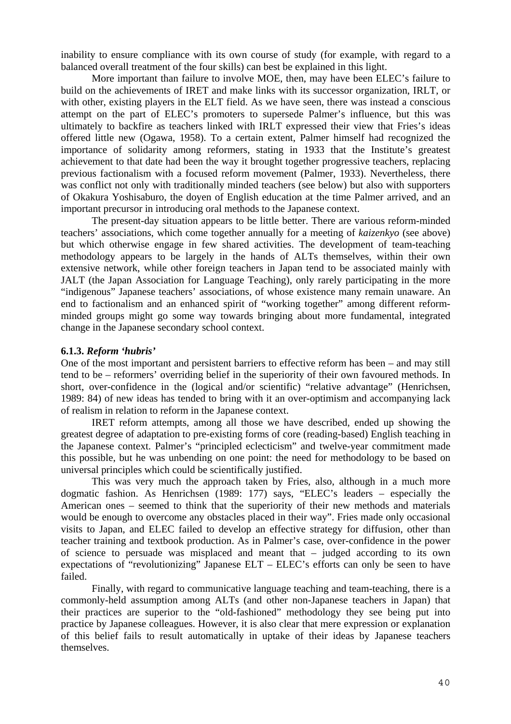inability to ensure compliance with its own course of study (for example, with regard to a balanced overall treatment of the four skills) can best be explained in this light.

More important than failure to involve MOE, then, may have been ELEC's failure to build on the achievements of IRET and make links with its successor organization, IRLT, or with other, existing players in the ELT field. As we have seen, there was instead a conscious attempt on the part of ELEC's promoters to supersede Palmer's influence, but this was ultimately to backfire as teachers linked with IRLT expressed their view that Fries's ideas offered little new (Ogawa, 1958). To a certain extent, Palmer himself had recognized the importance of solidarity among reformers, stating in 1933 that the Institute's greatest achievement to that date had been the way it brought together progressive teachers, replacing previous factionalism with a focused reform movement (Palmer, 1933). Nevertheless, there was conflict not only with traditionally minded teachers (see below) but also with supporters of Okakura Yoshisaburo, the doyen of English education at the time Palmer arrived, and an important precursor in introducing oral methods to the Japanese context.

 The present-day situation appears to be little better. There are various reform-minded teachers' associations, which come together annually for a meeting of *kaizenkyo* (see above) but which otherwise engage in few shared activities. The development of team-teaching methodology appears to be largely in the hands of ALTs themselves, within their own extensive network, while other foreign teachers in Japan tend to be associated mainly with JALT (the Japan Association for Language Teaching), only rarely participating in the more "indigenous" Japanese teachers' associations, of whose existence many remain unaware. An end to factionalism and an enhanced spirit of "working together" among different reformminded groups might go some way towards bringing about more fundamental, integrated change in the Japanese secondary school context.

## **6.1.3.** *Reform 'hubris'*

One of the most important and persistent barriers to effective reform has been – and may still tend to be – reformers' overriding belief in the superiority of their own favoured methods. In short, over-confidence in the (logical and/or scientific) "relative advantage" (Henrichsen, 1989: 84) of new ideas has tended to bring with it an over-optimism and accompanying lack of realism in relation to reform in the Japanese context.

IRET reform attempts, among all those we have described, ended up showing the greatest degree of adaptation to pre-existing forms of core (reading-based) English teaching in the Japanese context. Palmer's "principled eclecticism" and twelve-year commitment made this possible, but he was unbending on one point: the need for methodology to be based on universal principles which could be scientifically justified.

This was very much the approach taken by Fries, also, although in a much more dogmatic fashion. As Henrichsen (1989: 177) says, "ELEC's leaders – especially the American ones – seemed to think that the superiority of their new methods and materials would be enough to overcome any obstacles placed in their way". Fries made only occasional visits to Japan, and ELEC failed to develop an effective strategy for diffusion, other than teacher training and textbook production. As in Palmer's case, over-confidence in the power of science to persuade was misplaced and meant that – judged according to its own expectations of "revolutionizing" Japanese ELT – ELEC's efforts can only be seen to have failed.

Finally, with regard to communicative language teaching and team-teaching, there is a commonly-held assumption among ALTs (and other non-Japanese teachers in Japan) that their practices are superior to the "old-fashioned" methodology they see being put into practice by Japanese colleagues. However, it is also clear that mere expression or explanation of this belief fails to result automatically in uptake of their ideas by Japanese teachers themselves.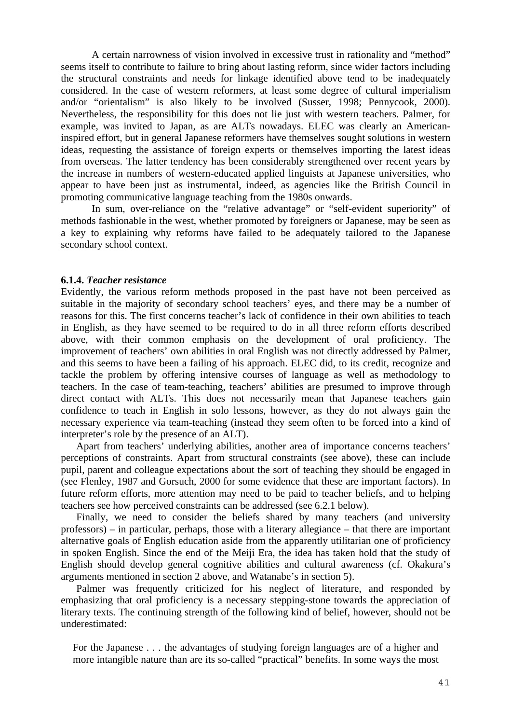A certain narrowness of vision involved in excessive trust in rationality and "method" seems itself to contribute to failure to bring about lasting reform, since wider factors including the structural constraints and needs for linkage identified above tend to be inadequately considered. In the case of western reformers, at least some degree of cultural imperialism and/or "orientalism" is also likely to be involved (Susser, 1998; Pennycook, 2000). Nevertheless, the responsibility for this does not lie just with western teachers. Palmer, for example, was invited to Japan, as are ALTs nowadays. ELEC was clearly an Americaninspired effort, but in general Japanese reformers have themselves sought solutions in western ideas, requesting the assistance of foreign experts or themselves importing the latest ideas from overseas. The latter tendency has been considerably strengthened over recent years by the increase in numbers of western-educated applied linguists at Japanese universities, who appear to have been just as instrumental, indeed, as agencies like the British Council in promoting communicative language teaching from the 1980s onwards.

In sum, over-reliance on the "relative advantage" or "self-evident superiority" of methods fashionable in the west, whether promoted by foreigners or Japanese, may be seen as a key to explaining why reforms have failed to be adequately tailored to the Japanese secondary school context.

#### **6.1.4.** *Teacher resistance*

Evidently, the various reform methods proposed in the past have not been perceived as suitable in the majority of secondary school teachers' eyes, and there may be a number of reasons for this. The first concerns teacher's lack of confidence in their own abilities to teach in English, as they have seemed to be required to do in all three reform efforts described above, with their common emphasis on the development of oral proficiency. The improvement of teachers' own abilities in oral English was not directly addressed by Palmer, and this seems to have been a failing of his approach. ELEC did, to its credit, recognize and tackle the problem by offering intensive courses of language as well as methodology to teachers. In the case of team-teaching, teachers' abilities are presumed to improve through direct contact with ALTs. This does not necessarily mean that Japanese teachers gain confidence to teach in English in solo lessons, however, as they do not always gain the necessary experience via team-teaching (instead they seem often to be forced into a kind of interpreter's role by the presence of an ALT).

Apart from teachers' underlying abilities, another area of importance concerns teachers' perceptions of constraints. Apart from structural constraints (see above), these can include pupil, parent and colleague expectations about the sort of teaching they should be engaged in (see Flenley, 1987 and Gorsuch, 2000 for some evidence that these are important factors). In future reform efforts, more attention may need to be paid to teacher beliefs, and to helping teachers see how perceived constraints can be addressed (see 6.2.1 below).

Finally, we need to consider the beliefs shared by many teachers (and university professors) – in particular, perhaps, those with a literary allegiance – that there are important alternative goals of English education aside from the apparently utilitarian one of proficiency in spoken English. Since the end of the Meiji Era, the idea has taken hold that the study of English should develop general cognitive abilities and cultural awareness (cf. Okakura's arguments mentioned in section 2 above, and Watanabe's in section 5).

Palmer was frequently criticized for his neglect of literature, and responded by emphasizing that oral proficiency is a necessary stepping-stone towards the appreciation of literary texts. The continuing strength of the following kind of belief, however, should not be underestimated:

For the Japanese . . . the advantages of studying foreign languages are of a higher and more intangible nature than are its so-called "practical" benefits. In some ways the most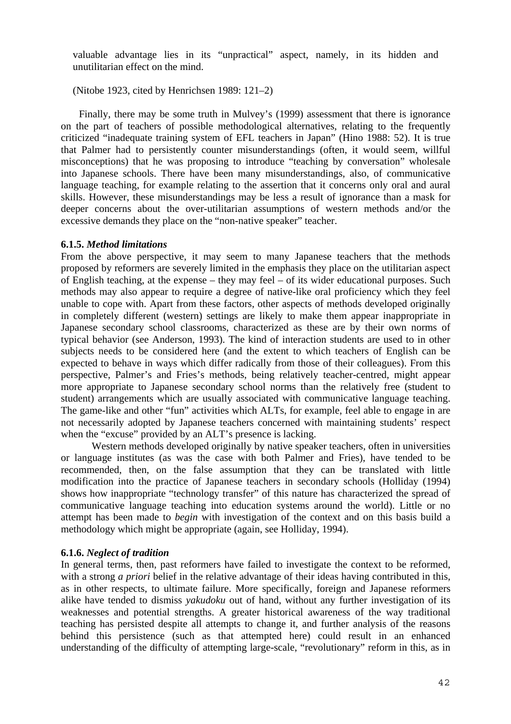valuable advantage lies in its "unpractical" aspect, namely, in its hidden and unutilitarian effect on the mind.

(Nitobe 1923, cited by Henrichsen 1989: 121–2)

 Finally, there may be some truth in Mulvey's (1999) assessment that there is ignorance on the part of teachers of possible methodological alternatives, relating to the frequently criticized "inadequate training system of EFL teachers in Japan" (Hino 1988: 52). It is true that Palmer had to persistently counter misunderstandings (often, it would seem, willful misconceptions) that he was proposing to introduce "teaching by conversation" wholesale into Japanese schools. There have been many misunderstandings, also, of communicative language teaching, for example relating to the assertion that it concerns only oral and aural skills. However, these misunderstandings may be less a result of ignorance than a mask for deeper concerns about the over-utilitarian assumptions of western methods and/or the excessive demands they place on the "non-native speaker" teacher.

# **6.1.5.** *Method limitations*

From the above perspective, it may seem to many Japanese teachers that the methods proposed by reformers are severely limited in the emphasis they place on the utilitarian aspect of English teaching, at the expense – they may feel – of its wider educational purposes. Such methods may also appear to require a degree of native-like oral proficiency which they feel unable to cope with. Apart from these factors, other aspects of methods developed originally in completely different (western) settings are likely to make them appear inappropriate in Japanese secondary school classrooms, characterized as these are by their own norms of typical behavior (see Anderson, 1993). The kind of interaction students are used to in other subjects needs to be considered here (and the extent to which teachers of English can be expected to behave in ways which differ radically from those of their colleagues). From this perspective, Palmer's and Fries's methods, being relatively teacher-centred, might appear more appropriate to Japanese secondary school norms than the relatively free (student to student) arrangements which are usually associated with communicative language teaching. The game-like and other "fun" activities which ALTs, for example, feel able to engage in are not necessarily adopted by Japanese teachers concerned with maintaining students' respect when the "excuse" provided by an ALT's presence is lacking.

Western methods developed originally by native speaker teachers, often in universities or language institutes (as was the case with both Palmer and Fries), have tended to be recommended, then, on the false assumption that they can be translated with little modification into the practice of Japanese teachers in secondary schools (Holliday (1994) shows how inappropriate "technology transfer" of this nature has characterized the spread of communicative language teaching into education systems around the world). Little or no attempt has been made to *begin* with investigation of the context and on this basis build a methodology which might be appropriate (again, see Holliday, 1994).

# **6.1.6.** *Neglect of tradition*

In general terms, then, past reformers have failed to investigate the context to be reformed, with a strong *a priori* belief in the relative advantage of their ideas having contributed in this, as in other respects, to ultimate failure. More specifically, foreign and Japanese reformers alike have tended to dismiss *yakudoku* out of hand, without any further investigation of its weaknesses and potential strengths. A greater historical awareness of the way traditional teaching has persisted despite all attempts to change it, and further analysis of the reasons behind this persistence (such as that attempted here) could result in an enhanced understanding of the difficulty of attempting large-scale, "revolutionary" reform in this, as in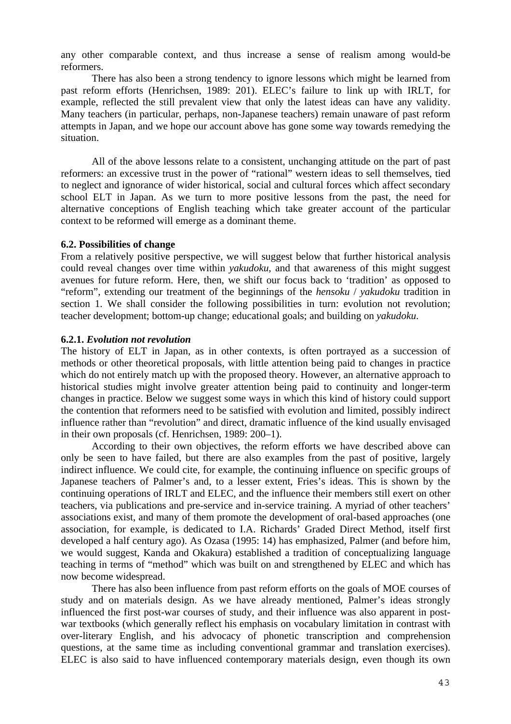any other comparable context, and thus increase a sense of realism among would-be reformers.

There has also been a strong tendency to ignore lessons which might be learned from past reform efforts (Henrichsen, 1989: 201). ELEC's failure to link up with IRLT, for example, reflected the still prevalent view that only the latest ideas can have any validity. Many teachers (in particular, perhaps, non-Japanese teachers) remain unaware of past reform attempts in Japan, and we hope our account above has gone some way towards remedying the situation.

 All of the above lessons relate to a consistent, unchanging attitude on the part of past reformers: an excessive trust in the power of "rational" western ideas to sell themselves, tied to neglect and ignorance of wider historical, social and cultural forces which affect secondary school ELT in Japan. As we turn to more positive lessons from the past, the need for alternative conceptions of English teaching which take greater account of the particular context to be reformed will emerge as a dominant theme.

## **6.2. Possibilities of change**

From a relatively positive perspective, we will suggest below that further historical analysis could reveal changes over time within *yakudoku*, and that awareness of this might suggest avenues for future reform. Here, then, we shift our focus back to 'tradition' as opposed to "reform", extending our treatment of the beginnings of the *hensoku* / *yakudoku* tradition in section 1. We shall consider the following possibilities in turn: evolution not revolution; teacher development; bottom-up change; educational goals; and building on *yakudoku*.

## **6.2.1.** *Evolution not revolution*

The history of ELT in Japan, as in other contexts, is often portrayed as a succession of methods or other theoretical proposals, with little attention being paid to changes in practice which do not entirely match up with the proposed theory. However, an alternative approach to historical studies might involve greater attention being paid to continuity and longer-term changes in practice. Below we suggest some ways in which this kind of history could support the contention that reformers need to be satisfied with evolution and limited, possibly indirect influence rather than "revolution" and direct, dramatic influence of the kind usually envisaged in their own proposals (cf. Henrichsen, 1989: 200–1).

According to their own objectives, the reform efforts we have described above can only be seen to have failed, but there are also examples from the past of positive, largely indirect influence. We could cite, for example, the continuing influence on specific groups of Japanese teachers of Palmer's and, to a lesser extent, Fries's ideas. This is shown by the continuing operations of IRLT and ELEC, and the influence their members still exert on other teachers, via publications and pre-service and in-service training. A myriad of other teachers' associations exist, and many of them promote the development of oral-based approaches (one association, for example, is dedicated to I.A. Richards' Graded Direct Method, itself first developed a half century ago). As Ozasa (1995: 14) has emphasized, Palmer (and before him, we would suggest, Kanda and Okakura) established a tradition of conceptualizing language teaching in terms of "method" which was built on and strengthened by ELEC and which has now become widespread.

There has also been influence from past reform efforts on the goals of MOE courses of study and on materials design. As we have already mentioned, Palmer's ideas strongly influenced the first post-war courses of study, and their influence was also apparent in postwar textbooks (which generally reflect his emphasis on vocabulary limitation in contrast with over-literary English, and his advocacy of phonetic transcription and comprehension questions, at the same time as including conventional grammar and translation exercises). ELEC is also said to have influenced contemporary materials design, even though its own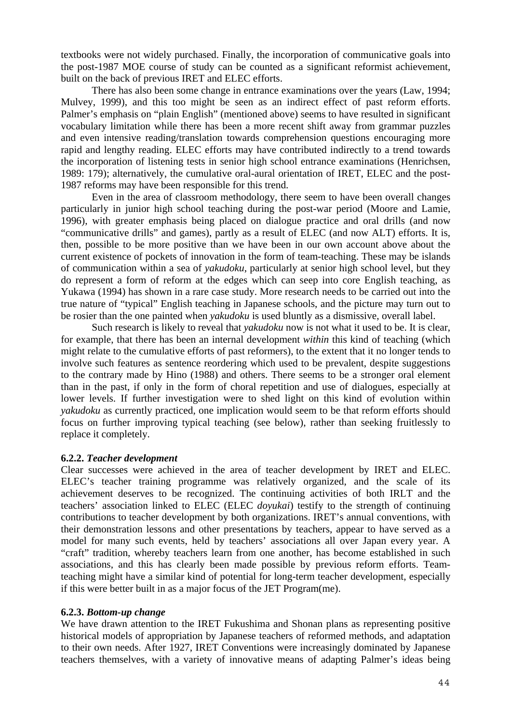textbooks were not widely purchased. Finally, the incorporation of communicative goals into the post-1987 MOE course of study can be counted as a significant reformist achievement, built on the back of previous IRET and ELEC efforts.

There has also been some change in entrance examinations over the years (Law, 1994; Mulvey, 1999), and this too might be seen as an indirect effect of past reform efforts. Palmer's emphasis on "plain English" (mentioned above) seems to have resulted in significant vocabulary limitation while there has been a more recent shift away from grammar puzzles and even intensive reading/translation towards comprehension questions encouraging more rapid and lengthy reading. ELEC efforts may have contributed indirectly to a trend towards the incorporation of listening tests in senior high school entrance examinations (Henrichsen, 1989: 179); alternatively, the cumulative oral-aural orientation of IRET, ELEC and the post-1987 reforms may have been responsible for this trend.

 Even in the area of classroom methodology, there seem to have been overall changes particularly in junior high school teaching during the post-war period (Moore and Lamie, 1996), with greater emphasis being placed on dialogue practice and oral drills (and now "communicative drills" and games), partly as a result of ELEC (and now ALT) efforts. It is, then, possible to be more positive than we have been in our own account above about the current existence of pockets of innovation in the form of team-teaching. These may be islands of communication within a sea of *yakudoku*, particularly at senior high school level, but they do represent a form of reform at the edges which can seep into core English teaching, as Yukawa (1994) has shown in a rare case study. More research needs to be carried out into the true nature of "typical" English teaching in Japanese schools, and the picture may turn out to be rosier than the one painted when *yakudoku* is used bluntly as a dismissive, overall label.

 Such research is likely to reveal that *yakudoku* now is not what it used to be. It is clear, for example, that there has been an internal development *within* this kind of teaching (which might relate to the cumulative efforts of past reformers), to the extent that it no longer tends to involve such features as sentence reordering which used to be prevalent, despite suggestions to the contrary made by Hino (1988) and others. There seems to be a stronger oral element than in the past, if only in the form of choral repetition and use of dialogues, especially at lower levels. If further investigation were to shed light on this kind of evolution within *yakudoku* as currently practiced, one implication would seem to be that reform efforts should focus on further improving typical teaching (see below), rather than seeking fruitlessly to replace it completely.

## **6.2.2.** *Teacher development*

Clear successes were achieved in the area of teacher development by IRET and ELEC. ELEC's teacher training programme was relatively organized, and the scale of its achievement deserves to be recognized. The continuing activities of both IRLT and the teachers' association linked to ELEC (ELEC *doyukai*) testify to the strength of continuing contributions to teacher development by both organizations. IRET's annual conventions, with their demonstration lessons and other presentations by teachers, appear to have served as a model for many such events, held by teachers' associations all over Japan every year. A "craft" tradition, whereby teachers learn from one another, has become established in such associations, and this has clearly been made possible by previous reform efforts. Teamteaching might have a similar kind of potential for long-term teacher development, especially if this were better built in as a major focus of the JET Program(me).

## **6.2.3.** *Bottom-up change*

We have drawn attention to the IRET Fukushima and Shonan plans as representing positive historical models of appropriation by Japanese teachers of reformed methods, and adaptation to their own needs. After 1927, IRET Conventions were increasingly dominated by Japanese teachers themselves, with a variety of innovative means of adapting Palmer's ideas being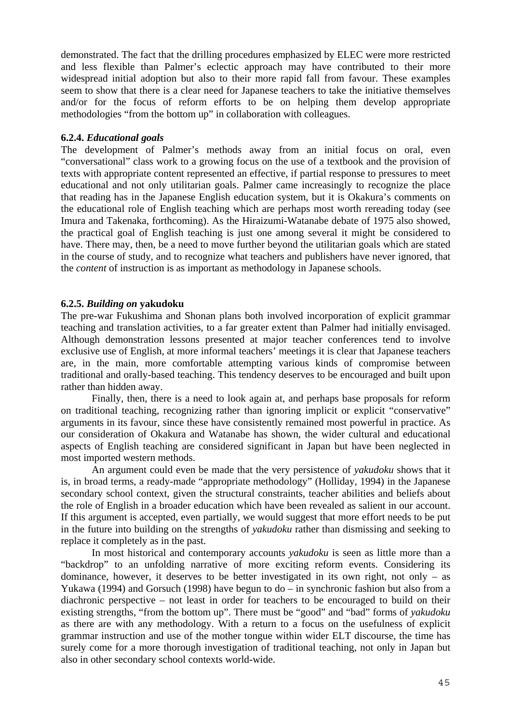demonstrated. The fact that the drilling procedures emphasized by ELEC were more restricted and less flexible than Palmer's eclectic approach may have contributed to their more widespread initial adoption but also to their more rapid fall from favour. These examples seem to show that there is a clear need for Japanese teachers to take the initiative themselves and/or for the focus of reform efforts to be on helping them develop appropriate methodologies "from the bottom up" in collaboration with colleagues.

# **6.2.4.** *Educational goals*

The development of Palmer's methods away from an initial focus on oral, even "conversational" class work to a growing focus on the use of a textbook and the provision of texts with appropriate content represented an effective, if partial response to pressures to meet educational and not only utilitarian goals. Palmer came increasingly to recognize the place that reading has in the Japanese English education system, but it is Okakura's comments on the educational role of English teaching which are perhaps most worth rereading today (see Imura and Takenaka, forthcoming). As the Hiraizumi-Watanabe debate of 1975 also showed, the practical goal of English teaching is just one among several it might be considered to have. There may, then, be a need to move further beyond the utilitarian goals which are stated in the course of study, and to recognize what teachers and publishers have never ignored, that the *content* of instruction is as important as methodology in Japanese schools.

# **6.2.5.** *Building on* **yakudoku**

The pre-war Fukushima and Shonan plans both involved incorporation of explicit grammar teaching and translation activities, to a far greater extent than Palmer had initially envisaged. Although demonstration lessons presented at major teacher conferences tend to involve exclusive use of English, at more informal teachers' meetings it is clear that Japanese teachers are, in the main, more comfortable attempting various kinds of compromise between traditional and orally-based teaching. This tendency deserves to be encouraged and built upon rather than hidden away.

 Finally, then, there is a need to look again at, and perhaps base proposals for reform on traditional teaching, recognizing rather than ignoring implicit or explicit "conservative" arguments in its favour, since these have consistently remained most powerful in practice. As our consideration of Okakura and Watanabe has shown, the wider cultural and educational aspects of English teaching are considered significant in Japan but have been neglected in most imported western methods.

An argument could even be made that the very persistence of *yakudoku* shows that it is, in broad terms, a ready-made "appropriate methodology" (Holliday, 1994) in the Japanese secondary school context, given the structural constraints, teacher abilities and beliefs about the role of English in a broader education which have been revealed as salient in our account. If this argument is accepted, even partially, we would suggest that more effort needs to be put in the future into building on the strengths of *yakudoku* rather than dismissing and seeking to replace it completely as in the past.

In most historical and contemporary accounts *yakudoku* is seen as little more than a "backdrop" to an unfolding narrative of more exciting reform events. Considering its dominance, however, it deserves to be better investigated in its own right, not only – as Yukawa (1994) and Gorsuch (1998) have begun to do – in synchronic fashion but also from a diachronic perspective – not least in order for teachers to be encouraged to build on their existing strengths, "from the bottom up". There must be "good" and "bad" forms of *yakudoku* as there are with any methodology. With a return to a focus on the usefulness of explicit grammar instruction and use of the mother tongue within wider ELT discourse, the time has surely come for a more thorough investigation of traditional teaching, not only in Japan but also in other secondary school contexts world-wide.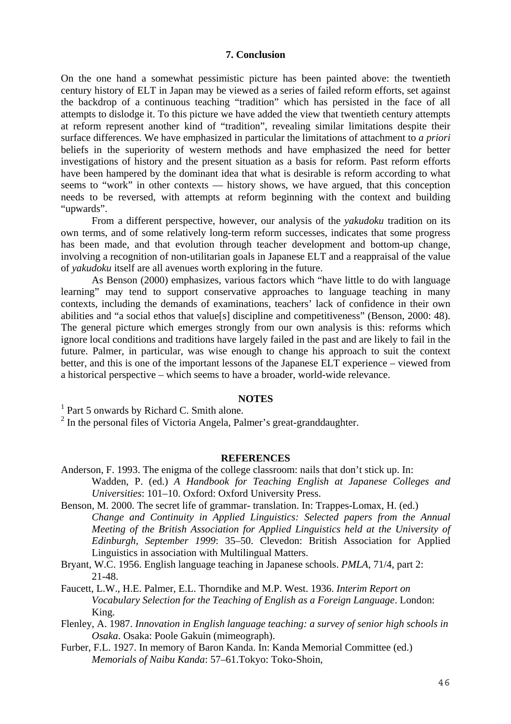#### **7. Conclusion**

On the one hand a somewhat pessimistic picture has been painted above: the twentieth century history of ELT in Japan may be viewed as a series of failed reform efforts, set against the backdrop of a continuous teaching "tradition" which has persisted in the face of all attempts to dislodge it. To this picture we have added the view that twentieth century attempts at reform represent another kind of "tradition", revealing similar limitations despite their surface differences. We have emphasized in particular the limitations of attachment to *a priori* beliefs in the superiority of western methods and have emphasized the need for better investigations of history and the present situation as a basis for reform. Past reform efforts have been hampered by the dominant idea that what is desirable is reform according to what seems to "work" in other contexts — history shows, we have argued, that this conception needs to be reversed, with attempts at reform beginning with the context and building "upwards".

From a different perspective, however, our analysis of the *yakudoku* tradition on its own terms, and of some relatively long-term reform successes, indicates that some progress has been made, and that evolution through teacher development and bottom-up change, involving a recognition of non-utilitarian goals in Japanese ELT and a reappraisal of the value of *yakudoku* itself are all avenues worth exploring in the future.

As Benson (2000) emphasizes, various factors which "have little to do with language learning" may tend to support conservative approaches to language teaching in many contexts, including the demands of examinations, teachers' lack of confidence in their own abilities and "a social ethos that value[s] discipline and competitiveness" (Benson, 2000: 48). The general picture which emerges strongly from our own analysis is this: reforms which ignore local conditions and traditions have largely failed in the past and are likely to fail in the future. Palmer, in particular, was wise enough to change his approach to suit the context better, and this is one of the important lessons of the Japanese ELT experience – viewed from a historical perspective – which seems to have a broader, world-wide relevance.

## **NOTES**

<sup>1</sup> Part 5 onwards by Richard C. Smith alone.

 $2$  In the personal files of Victoria Angela, Palmer's great-granddaughter.

### **REFERENCES**

- Anderson, F. 1993. The enigma of the college classroom: nails that don't stick up. In: Wadden, P. (ed.) *A Handbook for Teaching English at Japanese Colleges and Universities*: 101–10. Oxford: Oxford University Press.
- Benson, M. 2000. The secret life of grammar- translation. In: Trappes-Lomax, H. (ed.) *Change and Continuity in Applied Linguistics: Selected papers from the Annual Meeting of the British Association for Applied Linguistics held at the University of Edinburgh, September 1999*: 35–50. Clevedon: British Association for Applied Linguistics in association with Multilingual Matters.
- Bryant, W.C. 1956. English language teaching in Japanese schools. *PMLA,* 71/4, part 2: 21-48.
- Faucett, L.W., H.E. Palmer, E.L. Thorndike and M.P. West. 1936. *Interim Report on Vocabulary Selection for the Teaching of English as a Foreign Language*. London: King.
- Flenley, A. 1987. *Innovation in English language teaching: a survey of senior high schools in Osaka*. Osaka: Poole Gakuin (mimeograph).
- Furber, F.L. 1927. In memory of Baron Kanda. In: Kanda Memorial Committee (ed.) *Memorials of Naibu Kanda*: 57–61.Tokyo: Toko-Shoin,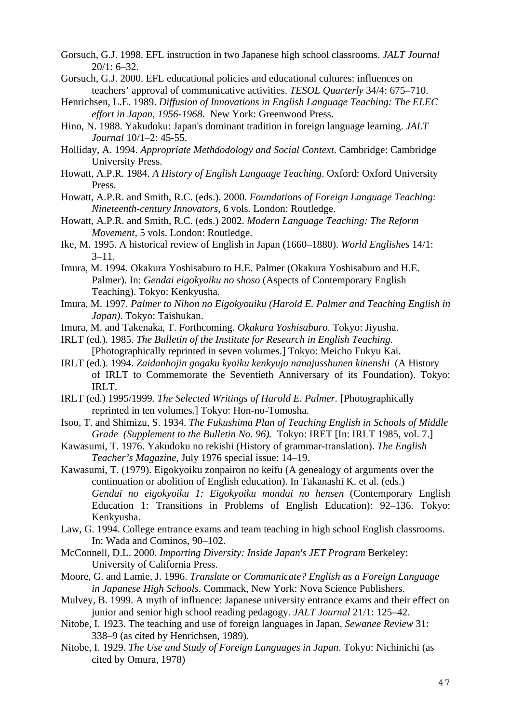- Gorsuch, G.J. 1998. EFL instruction in two Japanese high school classrooms. *JALT Journal* 20/1: 6–32.
- Gorsuch, G.J. 2000. EFL educational policies and educational cultures: influences on teachers' approval of communicative activities. *TESOL Quarterly* 34/4: 675–710.
- Henrichsen, L.E. 1989. *Diffusion of Innovations in English Language Teaching: The ELEC effort in Japan, 1956-1968*. New York: Greenwood Press.
- Hino, N. 1988. Yakudoku: Japan's dominant tradition in foreign language learning. *JALT Journal* 10/1–2: 45-55.
- Holliday, A. 1994. *Appropriate Methdodology and Social Context*. Cambridge: Cambridge University Press.
- Howatt, A.P.R. 1984. *A History of English Language Teaching*. Oxford: Oxford University Press.
- Howatt, A.P.R. and Smith, R.C. (eds.). 2000. *Foundations of Foreign Language Teaching: Nineteenth-century Innovators*, 6 vols. London: Routledge.
- Howatt, A.P.R. and Smith, R.C. (eds.) 2002. *Modern Language Teaching: The Reform Movement*, 5 vols. London: Routledge.
- Ike, M. 1995. A historical review of English in Japan (1660–1880). *World Englishes* 14/1:  $3 - 11$ .
- Imura, M. 1994. Okakura Yoshisaburo to H.E. Palmer (Okakura Yoshisaburo and H.E. Palmer). In: *Gendai eigokyoiku no shoso* (Aspects of Contemporary English Teaching). Tokyo: Kenkyusha.
- Imura, M. 1997. *Palmer to Nihon no Eigokyouiku (Harold E. Palmer and Teaching English in Japan)*. Tokyo: Taishukan.
- Imura, M. and Takenaka, T. Forthcoming. *Okakura Yoshisaburo*. Tokyo: Jiyusha.
- IRLT (ed.). 1985. *The Bulletin of the Institute for Research in English Teaching.* [Photographically reprinted in seven volumes.] Tokyo: Meicho Fukyu Kai.
- IRLT (ed.). 1994. *Zaidanhojin gogaku kyoiku kenkyujo nanajusshunen kinenshi* (A History of IRLT to Commemorate the Seventieth Anniversary of its Foundation). Tokyo: IRLT.
- IRLT (ed.) 1995/1999. *The Selected Writings of Harold E. Palmer.* [Photographically reprinted in ten volumes.] Tokyo: Hon-no-Tomosha.
- Isoo, T. and Shimizu, S. 1934. *The Fukushima Plan of Teaching English in Schools of Middle Grade (Supplement to the Bulletin No. 96).* Tokyo: IRET [In: IRLT 1985, vol. 7.]
- Kawasumi, T. 1976. Yakudoku no rekishi (History of grammar-translation). *The English Teacher's Magazine*, July 1976 special issue: 14–19.

Kawasumi, T. (1979). Eigokyoiku zonpairon no keifu (A genealogy of arguments over the continuation or abolition of English education). In Takanashi K. et al. (eds.) *Gendai no eigokyoiku 1: Eigokyoiku mondai no hensen* (Contemporary English Education 1: Transitions in Problems of English Education): 92–136. Tokyo: Kenkyusha.

- Law, G. 1994. College entrance exams and team teaching in high school English classrooms. In: Wada and Cominos, 90–102.
- McConnell, D.L. 2000. *Importing Diversity: Inside Japan's JET Program* Berkeley: University of California Press.
- Moore, G. and Lamie, J. 1996. *Translate or Communicate? English as a Foreign Language in Japanese High Schools*. Commack, New York: Nova Science Publishers.
- Mulvey, B. 1999. A myth of influence: Japanese university entrance exams and their effect on junior and senior high school reading pedagogy. *JALT Journal* 21/1: 125–42.
- Nitobe, I. 1923. The teaching and use of foreign languages in Japan, *Sewanee Review* 31: 338–9 (as cited by Henrichsen, 1989).
- Nitobe, I. 1929. *The Use and Study of Foreign Languages in Japan*. Tokyo: Nichinichi (as cited by Omura, 1978)